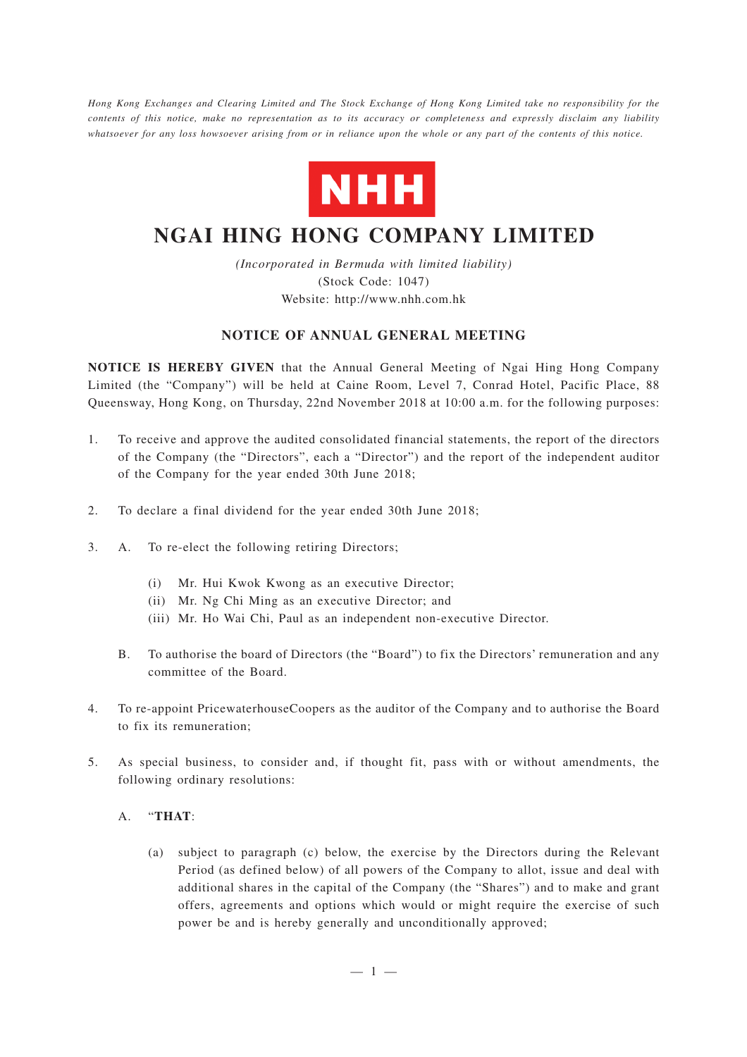*Hong Kong Exchanges and Clearing Limited and The Stock Exchange of Hong Kong Limited take no responsibility for the contents of this notice, make no representation as to its accuracy or completeness and expressly disclaim any liability whatsoever for any loss howsoever arising from or in reliance upon the whole or any part of the contents of this notice.*



# **NGAI HING HONG COMPANY LIMITED**

*(Incorporated in Bermuda with limited liability)* (Stock Code: 1047) Website: http://www.nhh.com.hk

### **NOTICE OF ANNUAL GENERAL MEETING**

**NOTICE IS HEREBY GIVEN** that the Annual General Meeting of Ngai Hing Hong Company Limited (the "Company") will be held at Caine Room, Level 7, Conrad Hotel, Pacific Place, 88 Queensway, Hong Kong, on Thursday, 22nd November 2018 at 10:00 a.m. for the following purposes:

- 1. To receive and approve the audited consolidated financial statements, the report of the directors of the Company (the "Directors", each a "Director") and the report of the independent auditor of the Company for the year ended 30th June 2018;
- 2. To declare a final dividend for the year ended 30th June 2018;
- 3. A. To re-elect the following retiring Directors;
	- (i) Mr. Hui Kwok Kwong as an executive Director;
	- (ii) Mr. Ng Chi Ming as an executive Director; and
	- (iii) Mr. Ho Wai Chi, Paul as an independent non-executive Director.
	- B. To authorise the board of Directors (the "Board") to fix the Directors' remuneration and any committee of the Board.
- 4. To re-appoint PricewaterhouseCoopers as the auditor of the Company and to authorise the Board to fix its remuneration;
- 5. As special business, to consider and, if thought fit, pass with or without amendments, the following ordinary resolutions:

#### A. "**THAT**:

(a) subject to paragraph (c) below, the exercise by the Directors during the Relevant Period (as defined below) of all powers of the Company to allot, issue and deal with additional shares in the capital of the Company (the "Shares") and to make and grant offers, agreements and options which would or might require the exercise of such power be and is hereby generally and unconditionally approved;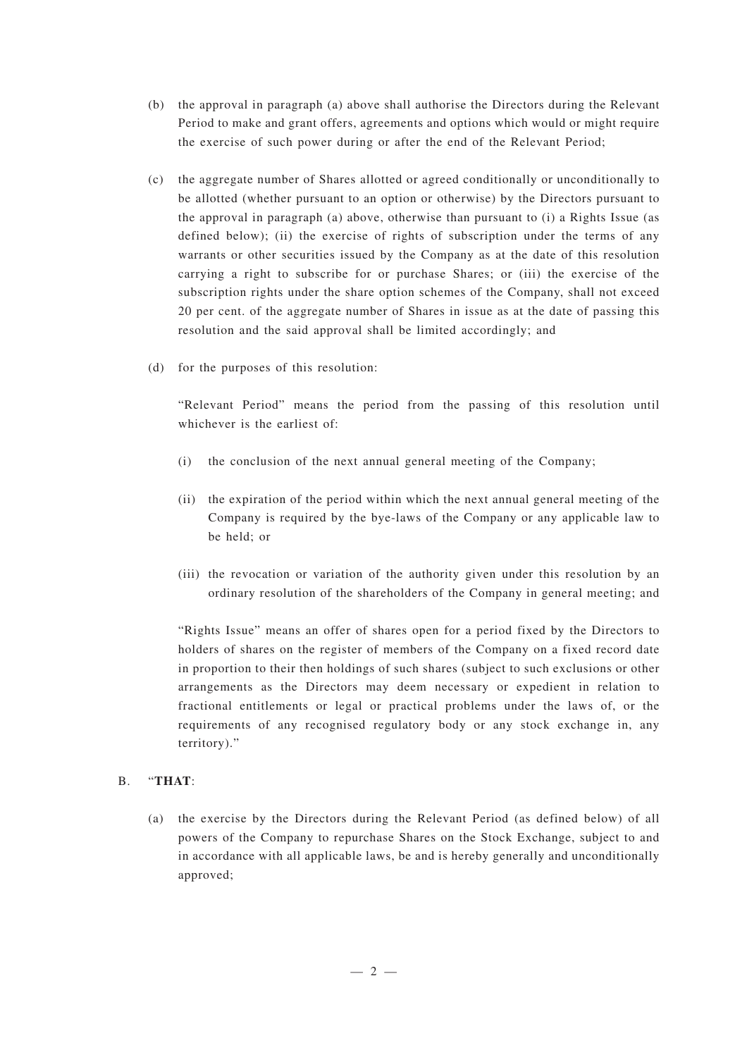- (b) the approval in paragraph (a) above shall authorise the Directors during the Relevant Period to make and grant offers, agreements and options which would or might require the exercise of such power during or after the end of the Relevant Period;
- (c) the aggregate number of Shares allotted or agreed conditionally or unconditionally to be allotted (whether pursuant to an option or otherwise) by the Directors pursuant to the approval in paragraph (a) above, otherwise than pursuant to (i) a Rights Issue (as defined below); (ii) the exercise of rights of subscription under the terms of any warrants or other securities issued by the Company as at the date of this resolution carrying a right to subscribe for or purchase Shares; or (iii) the exercise of the subscription rights under the share option schemes of the Company, shall not exceed 20 per cent. of the aggregate number of Shares in issue as at the date of passing this resolution and the said approval shall be limited accordingly; and
- (d) for the purposes of this resolution:

"Relevant Period" means the period from the passing of this resolution until whichever is the earliest of

- (i) the conclusion of the next annual general meeting of the Company;
- (ii) the expiration of the period within which the next annual general meeting of the Company is required by the bye-laws of the Company or any applicable law to be held; or
- (iii) the revocation or variation of the authority given under this resolution by an ordinary resolution of the shareholders of the Company in general meeting; and

"Rights Issue" means an offer of shares open for a period fixed by the Directors to holders of shares on the register of members of the Company on a fixed record date in proportion to their then holdings of such shares (subject to such exclusions or other arrangements as the Directors may deem necessary or expedient in relation to fractional entitlements or legal or practical problems under the laws of, or the requirements of any recognised regulatory body or any stock exchange in, any territory)."

## B. "**THAT**:

(a) the exercise by the Directors during the Relevant Period (as defined below) of all powers of the Company to repurchase Shares on the Stock Exchange, subject to and in accordance with all applicable laws, be and is hereby generally and unconditionally approved;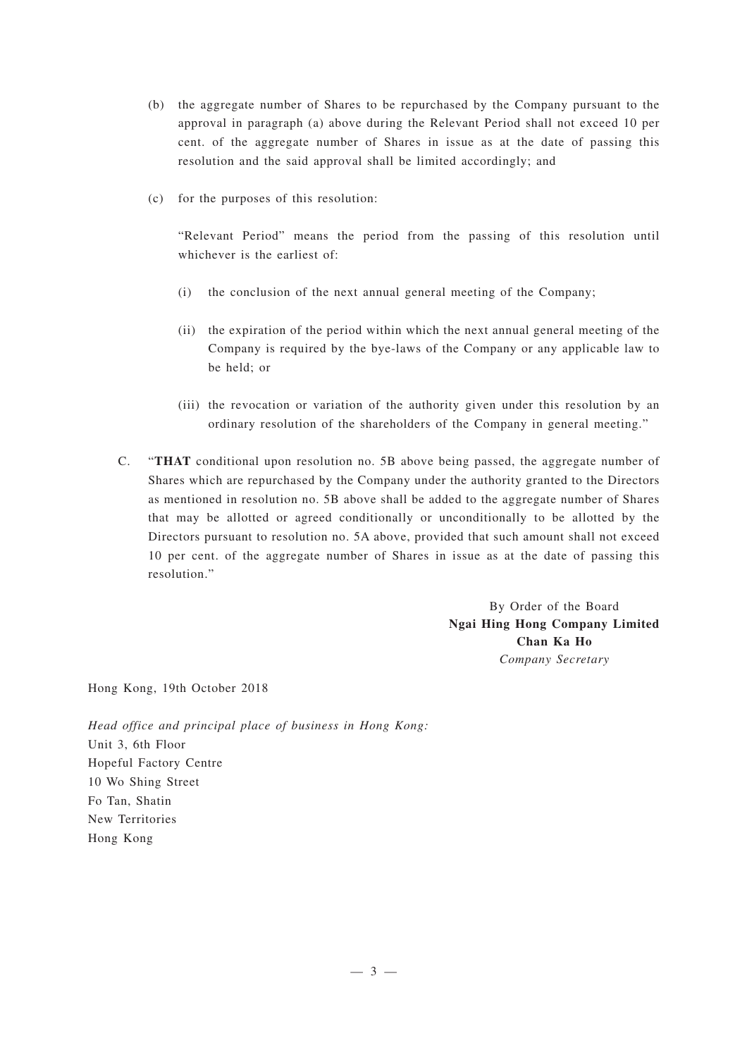- (b) the aggregate number of Shares to be repurchased by the Company pursuant to the approval in paragraph (a) above during the Relevant Period shall not exceed 10 per cent. of the aggregate number of Shares in issue as at the date of passing this resolution and the said approval shall be limited accordingly; and
- (c) for the purposes of this resolution:

"Relevant Period" means the period from the passing of this resolution until whichever is the earliest of:

- (i) the conclusion of the next annual general meeting of the Company;
- (ii) the expiration of the period within which the next annual general meeting of the Company is required by the bye-laws of the Company or any applicable law to be held; or
- (iii) the revocation or variation of the authority given under this resolution by an ordinary resolution of the shareholders of the Company in general meeting."
- C. "**THAT** conditional upon resolution no. 5B above being passed, the aggregate number of Shares which are repurchased by the Company under the authority granted to the Directors as mentioned in resolution no. 5B above shall be added to the aggregate number of Shares that may be allotted or agreed conditionally or unconditionally to be allotted by the Directors pursuant to resolution no. 5A above, provided that such amount shall not exceed 10 per cent. of the aggregate number of Shares in issue as at the date of passing this resolution."

By Order of the Board **Ngai Hing Hong Company Limited Chan Ka Ho** *Company Secretary*

Hong Kong, 19th October 2018

*Head office and principal place of business in Hong Kong:* Unit 3, 6th Floor Hopeful Factory Centre 10 Wo Shing Street Fo Tan, Shatin New Territories Hong Kong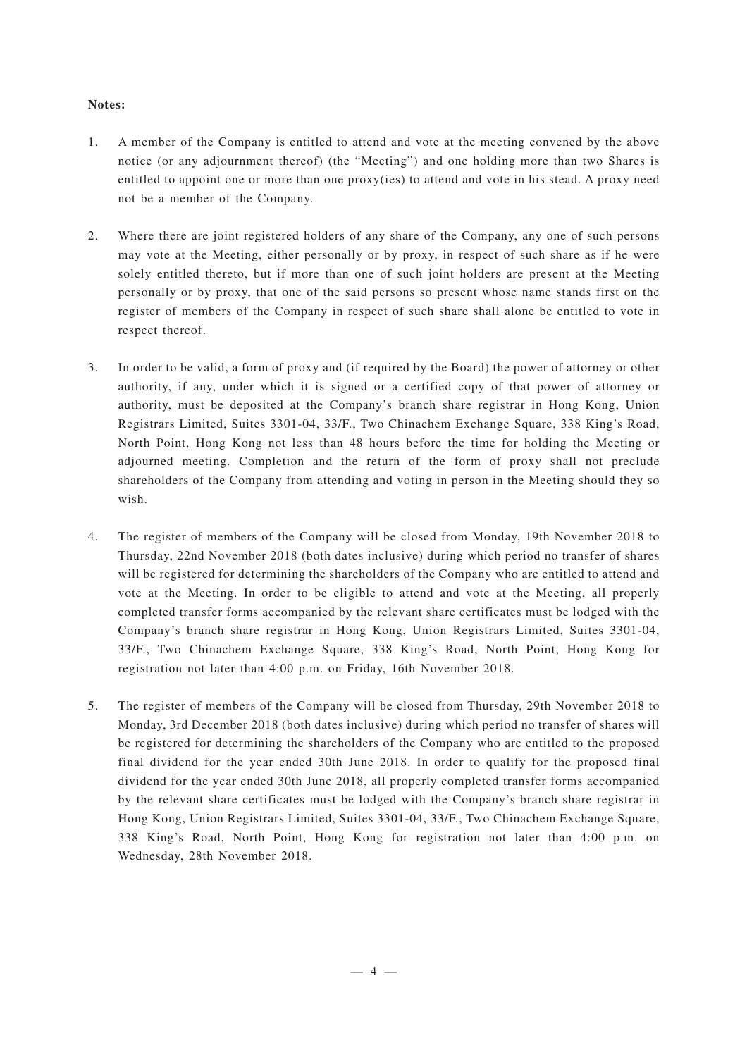#### **Notes:**

- 1. A member of the Company is entitled to attend and vote at the meeting convened by the above notice (or any adjournment thereof) (the "Meeting") and one holding more than two Shares is entitled to appoint one or more than one proxy(ies) to attend and vote in his stead. A proxy need not be a member of the Company.
- 2. Where there are joint registered holders of any share of the Company, any one of such persons may vote at the Meeting, either personally or by proxy, in respect of such share as if he were solely entitled thereto, but if more than one of such joint holders are present at the Meeting personally or by proxy, that one of the said persons so present whose name stands first on the register of members of the Company in respect of such share shall alone be entitled to vote in respect thereof.
- 3. In order to be valid, a form of proxy and (if required by the Board) the power of attorney or other authority, if any, under which it is signed or a certified copy of that power of attorney or authority, must be deposited at the Company's branch share registrar in Hong Kong, Union Registrars Limited, Suites 3301-04, 33/F., Two Chinachem Exchange Square, 338 King's Road, North Point, Hong Kong not less than 48 hours before the time for holding the Meeting or adjourned meeting. Completion and the return of the form of proxy shall not preclude shareholders of the Company from attending and voting in person in the Meeting should they so wish.
- 4. The register of members of the Company will be closed from Monday, 19th November 2018 to Thursday, 22nd November 2018 (both dates inclusive) during which period no transfer of shares will be registered for determining the shareholders of the Company who are entitled to attend and vote at the Meeting. In order to be eligible to attend and vote at the Meeting, all properly completed transfer forms accompanied by the relevant share certificates must be lodged with the Company's branch share registrar in Hong Kong, Union Registrars Limited, Suites 3301-04, 33/F., Two Chinachem Exchange Square, 338 King's Road, North Point, Hong Kong for registration not later than 4:00 p.m. on Friday, 16th November 2018.
- 5. The register of members of the Company will be closed from Thursday, 29th November 2018 to Monday, 3rd December 2018 (both dates inclusive) during which period no transfer of shares will be registered for determining the shareholders of the Company who are entitled to the proposed final dividend for the year ended 30th June 2018. In order to qualify for the proposed final dividend for the year ended 30th June 2018, all properly completed transfer forms accompanied by the relevant share certificates must be lodged with the Company's branch share registrar in Hong Kong, Union Registrars Limited, Suites 3301-04, 33/F., Two Chinachem Exchange Square, 338 King's Road, North Point, Hong Kong for registration not later than 4:00 p.m. on Wednesday, 28th November 2018.